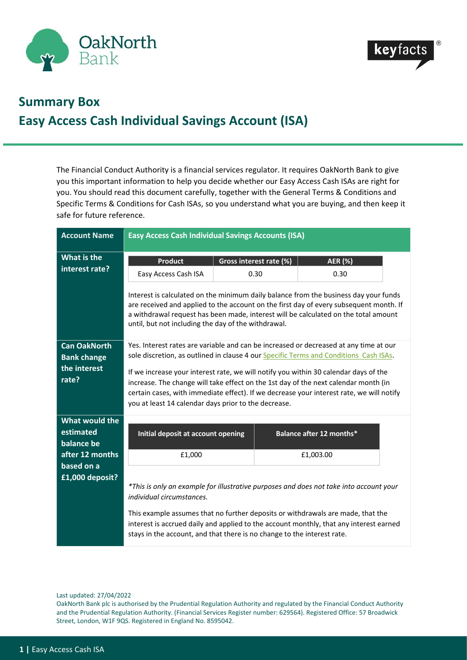



## **Summary Box Easy Access Cash Individual Savings Account (ISA)**

The Financial Conduct Authority is a financial services regulator. It requires OakNorth Bank to give you this important information to help you decide whether our Easy Access Cash ISAs are right for you. You should read this document carefully, together with the General Terms & Conditions and Specific Terms & Conditions for Cash ISAs, so you understand what you are buying, and then keep it safe for future reference.

| <b>Account Name</b> | <b>Easy Access Cash Individual Savings Accounts (ISA)</b>                                                                                                                                                                                                                                                                    |                                                                                     |  |                          |  |  |
|---------------------|------------------------------------------------------------------------------------------------------------------------------------------------------------------------------------------------------------------------------------------------------------------------------------------------------------------------------|-------------------------------------------------------------------------------------|--|--------------------------|--|--|
| What is the         | <b>Product</b>                                                                                                                                                                                                                                                                                                               | Gross interest rate (%)                                                             |  | <b>AER (%)</b>           |  |  |
| interest rate?      | Easy Access Cash ISA                                                                                                                                                                                                                                                                                                         | 0.30                                                                                |  | 0.30                     |  |  |
|                     | Interest is calculated on the minimum daily balance from the business day your funds<br>are received and applied to the account on the first day of every subsequent month. If<br>a withdrawal request has been made, interest will be calculated on the total amount<br>until, but not including the day of the withdrawal. |                                                                                     |  |                          |  |  |
| <b>Can OakNorth</b> | Yes. Interest rates are variable and can be increased or decreased at any time at our                                                                                                                                                                                                                                        |                                                                                     |  |                          |  |  |
| <b>Bank change</b>  | sole discretion, as outlined in clause 4 our Specific Terms and Conditions Cash ISAs.                                                                                                                                                                                                                                        |                                                                                     |  |                          |  |  |
| the interest        | If we increase your interest rate, we will notify you within 30 calendar days of the                                                                                                                                                                                                                                         |                                                                                     |  |                          |  |  |
| rate?               |                                                                                                                                                                                                                                                                                                                              | increase. The change will take effect on the 1st day of the next calendar month (in |  |                          |  |  |
|                     | certain cases, with immediate effect). If we decrease your interest rate, we will notify<br>you at least 14 calendar days prior to the decrease.                                                                                                                                                                             |                                                                                     |  |                          |  |  |
| What would the      |                                                                                                                                                                                                                                                                                                                              |                                                                                     |  |                          |  |  |
| estimated           | Initial deposit at account opening                                                                                                                                                                                                                                                                                           |                                                                                     |  | Balance after 12 months* |  |  |
| balance be          |                                                                                                                                                                                                                                                                                                                              |                                                                                     |  |                          |  |  |
| after 12 months     | £1,000                                                                                                                                                                                                                                                                                                                       |                                                                                     |  | £1,003.00                |  |  |
| based on a          |                                                                                                                                                                                                                                                                                                                              |                                                                                     |  |                          |  |  |
| £1,000 deposit?     | *This is only an example for illustrative purposes and does not take into account your<br>individual circumstances.                                                                                                                                                                                                          |                                                                                     |  |                          |  |  |
|                     |                                                                                                                                                                                                                                                                                                                              |                                                                                     |  |                          |  |  |
|                     | This example assumes that no further deposits or withdrawals are made, that the<br>interest is accrued daily and applied to the account monthly, that any interest earned<br>stays in the account, and that there is no change to the interest rate.                                                                         |                                                                                     |  |                          |  |  |

Last updated: 27/04/2022

OakNorth Bank plc is authorised by the Prudential Regulation Authority and regulated by the Financial Conduct Authority and the Prudential Regulation Authority. (Financial Services Register number: 629564). Registered Office: 57 Broadwick Street, London, W1F 9QS. Registered in England No. 8595042.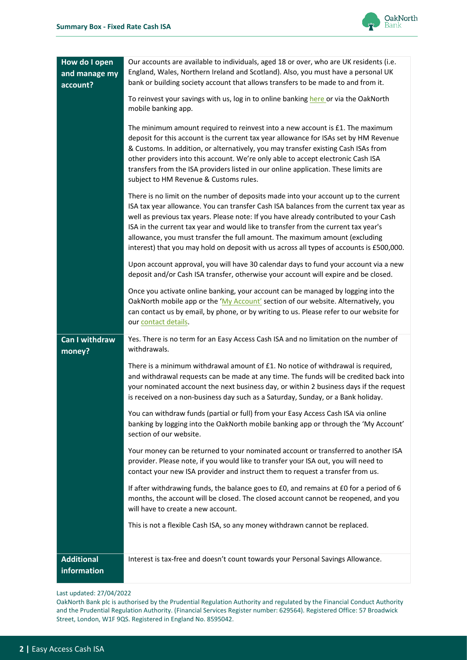

| How do I open<br>and manage my<br>account? | Our accounts are available to individuals, aged 18 or over, who are UK residents (i.e.<br>England, Wales, Northern Ireland and Scotland). Also, you must have a personal UK<br>bank or building society account that allows transfers to be made to and from it.<br>To reinvest your savings with us, log in to online banking here or via the OakNorth<br>mobile banking app.<br>The minimum amount required to reinvest into a new account is $£1$ . The maximum<br>deposit for this account is the current tax year allowance for ISAs set by HM Revenue<br>& Customs. In addition, or alternatively, you may transfer existing Cash ISAs from<br>other providers into this account. We're only able to accept electronic Cash ISA<br>transfers from the ISA providers listed in our online application. These limits are<br>subject to HM Revenue & Customs rules.<br>There is no limit on the number of deposits made into your account up to the current<br>ISA tax year allowance. You can transfer Cash ISA balances from the current tax year as<br>well as previous tax years. Please note: If you have already contributed to your Cash<br>ISA in the current tax year and would like to transfer from the current tax year's<br>allowance, you must transfer the full amount. The maximum amount (excluding<br>interest) that you may hold on deposit with us across all types of accounts is £500,000. |
|--------------------------------------------|---------------------------------------------------------------------------------------------------------------------------------------------------------------------------------------------------------------------------------------------------------------------------------------------------------------------------------------------------------------------------------------------------------------------------------------------------------------------------------------------------------------------------------------------------------------------------------------------------------------------------------------------------------------------------------------------------------------------------------------------------------------------------------------------------------------------------------------------------------------------------------------------------------------------------------------------------------------------------------------------------------------------------------------------------------------------------------------------------------------------------------------------------------------------------------------------------------------------------------------------------------------------------------------------------------------------------------------------------------------------------------------------------------------------|
|                                            | Upon account approval, you will have 30 calendar days to fund your account via a new<br>deposit and/or Cash ISA transfer, otherwise your account will expire and be closed.<br>Once you activate online banking, your account can be managed by logging into the<br>OakNorth mobile app or the 'My Account' section of our website. Alternatively, you<br>can contact us by email, by phone, or by writing to us. Please refer to our website for<br>our contact details.                                                                                                                                                                                                                                                                                                                                                                                                                                                                                                                                                                                                                                                                                                                                                                                                                                                                                                                                           |
| Can I withdraw<br>money?                   | Yes. There is no term for an Easy Access Cash ISA and no limitation on the number of<br>withdrawals.<br>There is a minimum withdrawal amount of $£1$ . No notice of withdrawal is required,<br>and withdrawal requests can be made at any time. The funds will be credited back into<br>your nominated account the next business day, or within 2 business days if the request<br>is received on a non-business day such as a Saturday, Sunday, or a Bank holiday.<br>You can withdraw funds (partial or full) from your Easy Access Cash ISA via online<br>banking by logging into the OakNorth mobile banking app or through the 'My Account'<br>section of our website.<br>Your money can be returned to your nominated account or transferred to another ISA<br>provider. Please note, if you would like to transfer your ISA out, you will need to<br>contact your new ISA provider and instruct them to request a transfer from us.<br>If after withdrawing funds, the balance goes to £0, and remains at £0 for a period of 6<br>months, the account will be closed. The closed account cannot be reopened, and you<br>will have to create a new account.<br>This is not a flexible Cash ISA, so any money withdrawn cannot be replaced.                                                                                                                                                                     |
| <b>Additional</b><br>information           | Interest is tax-free and doesn't count towards your Personal Savings Allowance.                                                                                                                                                                                                                                                                                                                                                                                                                                                                                                                                                                                                                                                                                                                                                                                                                                                                                                                                                                                                                                                                                                                                                                                                                                                                                                                                     |

## Last updated: 27/04/2022

OakNorth Bank plc is authorised by the Prudential Regulation Authority and regulated by the Financial Conduct Authority and the Prudential Regulation Authority. (Financial Services Register number: 629564). Registered Office: 57 Broadwick Street, London, W1F 9QS. Registered in England No. 8595042.